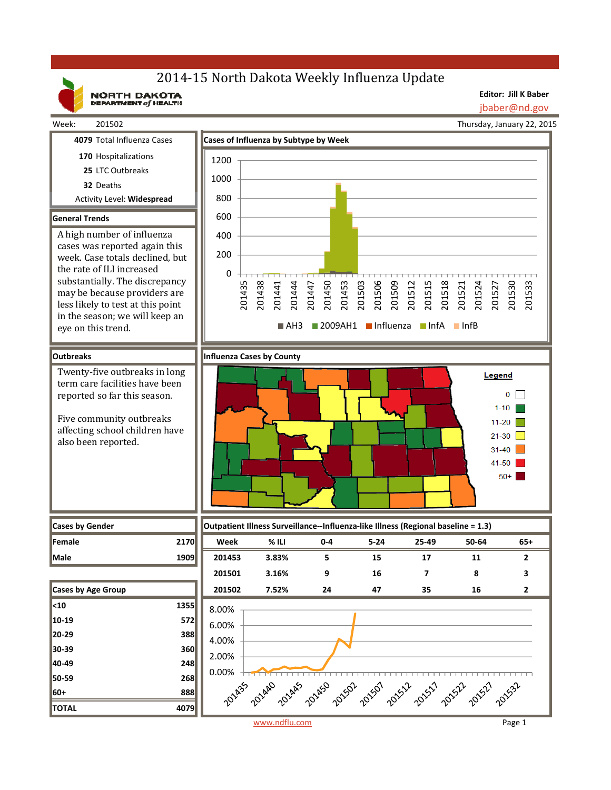## 2014-15 North Dakota Weekly Influenza Update

NORTH DAKOTA

**Editor: Jill K Baber**

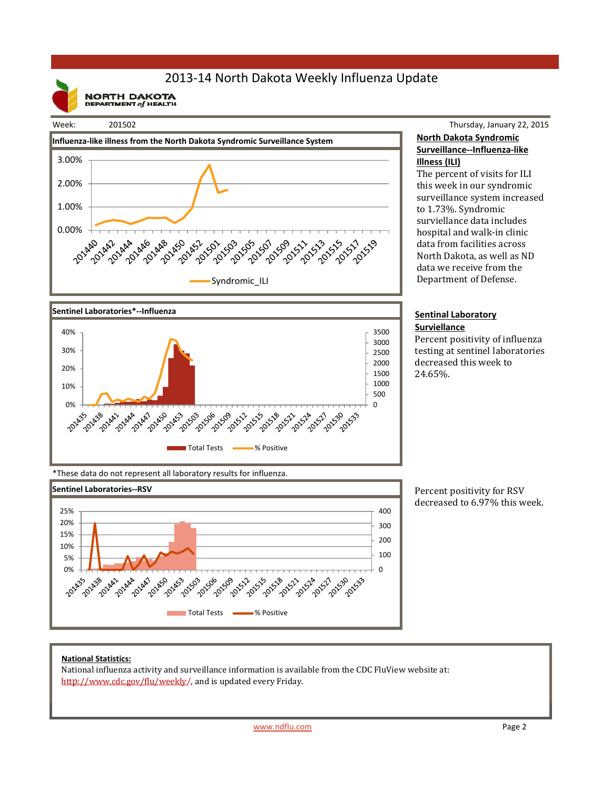## 2013‐14 North Dakota Weekly Influenza Update

**NORTH DAKOTA**<br>DEPARTMENT of HEALTH



# Syndromic\_ILI



#### Thursday, January 22, 2015 **North Dakota Syndromic Surveillance‐‐Influenza‐like Illness (ILI)**

The percent of visits for ILI this week in our syndromic surveillance system increased to 1.73%. Syndromic surviellance data includes hospital and walk-in clinic data from facilities across North Dakota, as well as ND data we receive from the Department of Defense.

#### **Sentinal Laboratory Surviellance**

Percent positivity of influenza testing at sentinel laboratories decreased this week to 24.65%. 

\*These data do not represent all laboratory results for influenza.



Percent positivity for RSV decreased to 6.97% this week.

### **National Statistics:**

National influenza activity and surveillance information is available from the CDC FluView website at: http://www.cdc.gov/flu/weekly/, and is updated every Friday.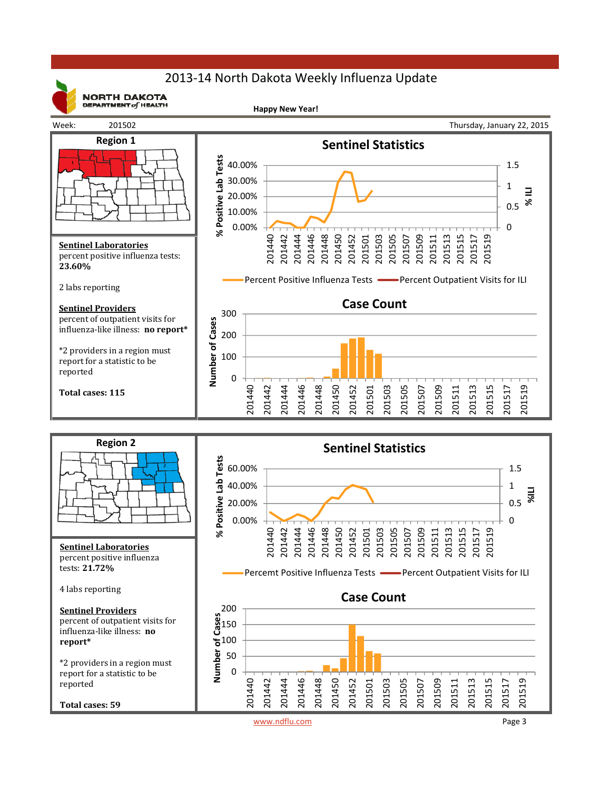## 2013‐14 North Dakota Weekly Influenza Update



**NORTH DAKOTA** DEPARTMENT  $of$  HEALTH

**Happy New Year!**